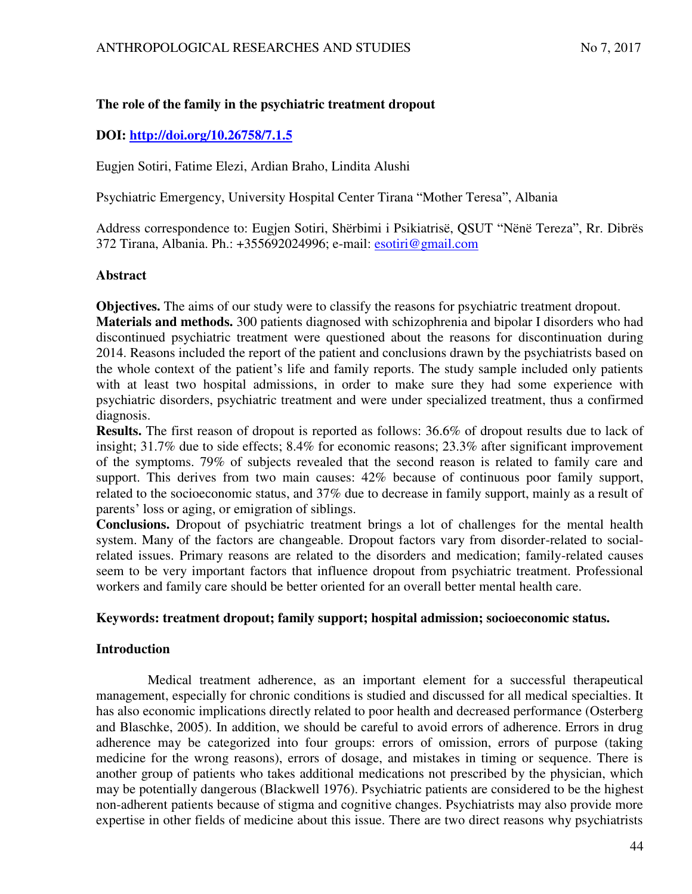# **The role of the family in the psychiatric treatment dropout**

# **DOI:<http://doi.org/10.26758/7.1.5>**

Eugjen Sotiri, Fatime Elezi, Ardian Braho, Lindita Alushi

Psychiatric Emergency, University Hospital Center Tirana "Mother Teresa", Albania

Address correspondence to: Eugjen Sotiri, Shërbimi i Psikiatrisë, QSUT "Nënë Tereza", Rr. Dibrës 372 Tirana, Albania. Ph.: +355692024996; e-mail: esotiri@gmail.com

### **Abstract**

**Objectives.** The aims of our study were to classify the reasons for psychiatric treatment dropout.

**Materials and methods.** 300 patients diagnosed with schizophrenia and bipolar I disorders who had discontinued psychiatric treatment were questioned about the reasons for discontinuation during 2014. Reasons included the report of the patient and conclusions drawn by the psychiatrists based on the whole context of the patient's life and family reports. The study sample included only patients with at least two hospital admissions, in order to make sure they had some experience with psychiatric disorders, psychiatric treatment and were under specialized treatment, thus a confirmed diagnosis.

**Results.** The first reason of dropout is reported as follows: 36.6% of dropout results due to lack of insight; 31.7% due to side effects; 8.4% for economic reasons; 23.3% after significant improvement of the symptoms. 79% of subjects revealed that the second reason is related to family care and support. This derives from two main causes: 42% because of continuous poor family support, related to the socioeconomic status, and 37% due to decrease in family support, mainly as a result of parents' loss or aging, or emigration of siblings.

**Conclusions.** Dropout of psychiatric treatment brings a lot of challenges for the mental health system. Many of the factors are changeable. Dropout factors vary from disorder-related to socialrelated issues. Primary reasons are related to the disorders and medication; family-related causes seem to be very important factors that influence dropout from psychiatric treatment. Professional workers and family care should be better oriented for an overall better mental health care.

### **Keywords: treatment dropout; family support; hospital admission; socioeconomic status.**

### **Introduction**

 Medical treatment adherence, as an important element for a successful therapeutical management, especially for chronic conditions is studied and discussed for all medical specialties. It has also economic implications directly related to poor health and decreased performance (Osterberg and Blaschke, 2005). In addition, we should be careful to avoid errors of adherence. Errors in drug adherence may be categorized into four groups: errors of omission, errors of purpose (taking medicine for the wrong reasons), errors of dosage, and mistakes in timing or sequence. There is another group of patients who takes additional medications not prescribed by the physician, which may be potentially dangerous (Blackwell 1976). Psychiatric patients are considered to be the highest non-adherent patients because of stigma and cognitive changes. Psychiatrists may also provide more expertise in other fields of medicine about this issue. There are two direct reasons why psychiatrists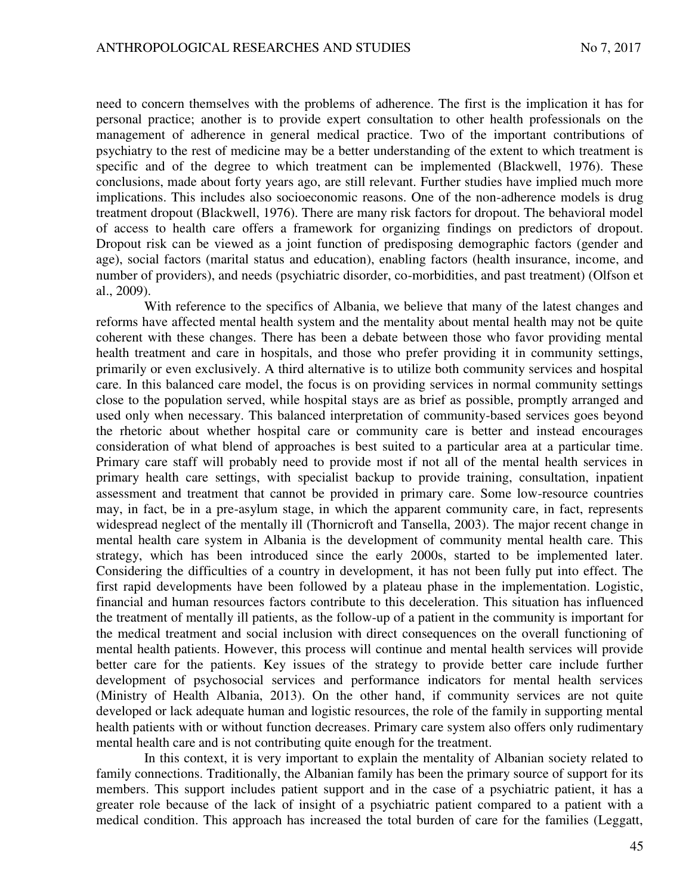need to concern themselves with the problems of adherence. The first is the implication it has for personal practice; another is to provide expert consultation to other health professionals on the management of adherence in general medical practice. Two of the important contributions of psychiatry to the rest of medicine may be a better understanding of the extent to which treatment is specific and of the degree to which treatment can be implemented (Blackwell, 1976). These conclusions, made about forty years ago, are still relevant. Further studies have implied much more implications. This includes also socioeconomic reasons. One of the non-adherence models is drug treatment dropout (Blackwell, 1976). There are many risk factors for dropout. The behavioral model of access to health care offers a framework for organizing findings on predictors of dropout. Dropout risk can be viewed as a joint function of predisposing demographic factors (gender and age), social factors (marital status and education), enabling factors (health insurance, income, and number of providers), and needs (psychiatric disorder, co-morbidities, and past treatment) (Olfson et al., 2009).

With reference to the specifics of Albania, we believe that many of the latest changes and reforms have affected mental health system and the mentality about mental health may not be quite coherent with these changes. There has been a debate between those who favor providing mental health treatment and care in hospitals, and those who prefer providing it in community settings, primarily or even exclusively. A third alternative is to utilize both community services and hospital care. In this balanced care model, the focus is on providing services in normal community settings close to the population served, while hospital stays are as brief as possible, promptly arranged and used only when necessary. This balanced interpretation of community-based services goes beyond the rhetoric about whether hospital care or community care is better and instead encourages consideration of what blend of approaches is best suited to a particular area at a particular time. Primary care staff will probably need to provide most if not all of the mental health services in primary health care settings, with specialist backup to provide training, consultation, inpatient assessment and treatment that cannot be provided in primary care. Some low-resource countries may, in fact, be in a pre-asylum stage, in which the apparent community care, in fact, represents widespread neglect of the mentally ill (Thornicroft and Tansella, 2003). The major recent change in mental health care system in Albania is the development of community mental health care. This strategy, which has been introduced since the early 2000s, started to be implemented later. Considering the difficulties of a country in development, it has not been fully put into effect. The first rapid developments have been followed by a plateau phase in the implementation. Logistic, financial and human resources factors contribute to this deceleration. This situation has influenced the treatment of mentally ill patients, as the follow-up of a patient in the community is important for the medical treatment and social inclusion with direct consequences on the overall functioning of mental health patients. However, this process will continue and mental health services will provide better care for the patients. Key issues of the strategy to provide better care include further development of psychosocial services and performance indicators for mental health services (Ministry of Health Albania, 2013). On the other hand, if community services are not quite developed or lack adequate human and logistic resources, the role of the family in supporting mental health patients with or without function decreases. Primary care system also offers only rudimentary mental health care and is not contributing quite enough for the treatment.

In this context, it is very important to explain the mentality of Albanian society related to family connections. Traditionally, the Albanian family has been the primary source of support for its members. This support includes patient support and in the case of a psychiatric patient, it has a greater role because of the lack of insight of a psychiatric patient compared to a patient with a medical condition. This approach has increased the total burden of care for the families (Leggatt,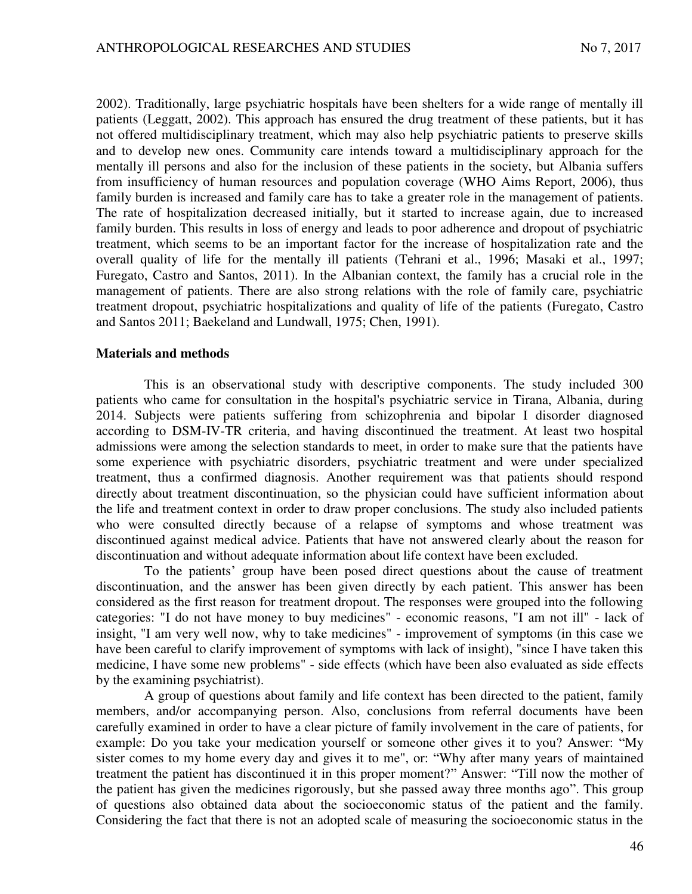2002). Traditionally, large psychiatric hospitals have been shelters for a wide range of mentally ill patients (Leggatt, 2002). This approach has ensured the drug treatment of these patients, but it has not offered multidisciplinary treatment, which may also help psychiatric patients to preserve skills and to develop new ones. Community care intends toward a multidisciplinary approach for the mentally ill persons and also for the inclusion of these patients in the society, but Albania suffers from insufficiency of human resources and population coverage (WHO Aims Report, 2006), thus family burden is increased and family care has to take a greater role in the management of patients. The rate of hospitalization decreased initially, but it started to increase again, due to increased family burden. This results in loss of energy and leads to poor adherence and dropout of psychiatric treatment, which seems to be an important factor for the increase of hospitalization rate and the overall quality of life for the mentally ill patients (Tehrani et al., 1996; Masaki et al., 1997; Furegato, Castro and Santos, 2011). In the Albanian context, the family has a crucial role in the management of patients. There are also strong relations with the role of family care, psychiatric treatment dropout, psychiatric hospitalizations and quality of life of the patients (Furegato, Castro and Santos 2011; Baekeland and Lundwall, 1975; Chen, 1991).

### **Materials and methods**

This is an observational study with descriptive components. The study included 300 patients who came for consultation in the hospital's psychiatric service in Tirana, Albania, during 2014. Subjects were patients suffering from schizophrenia and bipolar I disorder diagnosed according to DSM-IV-TR criteria, and having discontinued the treatment. At least two hospital admissions were among the selection standards to meet, in order to make sure that the patients have some experience with psychiatric disorders, psychiatric treatment and were under specialized treatment, thus a confirmed diagnosis. Another requirement was that patients should respond directly about treatment discontinuation, so the physician could have sufficient information about the life and treatment context in order to draw proper conclusions. The study also included patients who were consulted directly because of a relapse of symptoms and whose treatment was discontinued against medical advice. Patients that have not answered clearly about the reason for discontinuation and without adequate information about life context have been excluded.

To the patients' group have been posed direct questions about the cause of treatment discontinuation, and the answer has been given directly by each patient. This answer has been considered as the first reason for treatment dropout. The responses were grouped into the following categories: "I do not have money to buy medicines" - economic reasons, "I am not ill" - lack of insight, "I am very well now, why to take medicines" - improvement of symptoms (in this case we have been careful to clarify improvement of symptoms with lack of insight), "since I have taken this medicine, I have some new problems" - side effects (which have been also evaluated as side effects by the examining psychiatrist).

A group of questions about family and life context has been directed to the patient, family members, and/or accompanying person. Also, conclusions from referral documents have been carefully examined in order to have a clear picture of family involvement in the care of patients, for example: Do you take your medication yourself or someone other gives it to you? Answer: "My sister comes to my home every day and gives it to me", or: "Why after many years of maintained treatment the patient has discontinued it in this proper moment?" Answer: "Till now the mother of the patient has given the medicines rigorously, but she passed away three months ago". This group of questions also obtained data about the socioeconomic status of the patient and the family. Considering the fact that there is not an adopted scale of measuring the socioeconomic status in the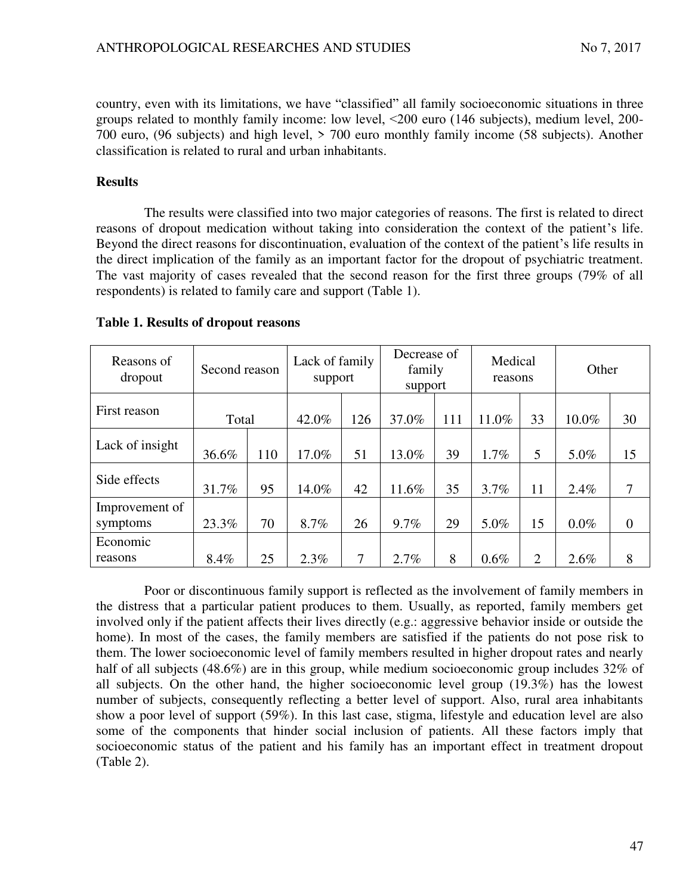country, even with its limitations, we have "classified" all family socioeconomic situations in three groups related to monthly family income: low level, ˂200 euro (146 subjects), medium level, 200- 700 euro, (96 subjects) and high level, > 700 euro monthly family income (58 subjects). Another classification is related to rural and urban inhabitants.

## **Results**

The results were classified into two major categories of reasons. The first is related to direct reasons of dropout medication without taking into consideration the context of the patient's life. Beyond the direct reasons for discontinuation, evaluation of the context of the patient's life results in the direct implication of the family as an important factor for the dropout of psychiatric treatment. The vast majority of cases revealed that the second reason for the first three groups (79% of all respondents) is related to family care and support (Table 1).

| Reasons of<br>dropout | Second reason |     | Lack of family<br>support |                | Decrease of<br>family<br>support |     | Medical<br>reasons |                | Other   |                |
|-----------------------|---------------|-----|---------------------------|----------------|----------------------------------|-----|--------------------|----------------|---------|----------------|
| First reason          | Total         |     | 42.0%                     | 126            | 37.0%                            | 111 | 11.0%              | 33             | 10.0%   | 30             |
| Lack of insight       | 36.6%         | 110 | 17.0%                     | 51             | 13.0%                            | 39  | 1.7%               | 5              | 5.0%    | 15             |
| Side effects          | 31.7%         | 95  | 14.0%                     | 42             | 11.6%                            | 35  | 3.7%               | 11             | 2.4%    | 7              |
| Improvement of        |               |     |                           |                |                                  |     |                    |                |         |                |
| symptoms              | 23.3%         | 70  | 8.7%                      | 26             | 9.7%                             | 29  | 5.0%               | 15             | $0.0\%$ | $\overline{0}$ |
| Economic<br>reasons   | 8.4%          | 25  | 2.3%                      | $\overline{7}$ | 2.7%                             | 8   | 0.6%               | $\overline{2}$ | 2.6%    | 8              |

### **Table 1. Results of dropout reasons**

Poor or discontinuous family support is reflected as the involvement of family members in the distress that a particular patient produces to them. Usually, as reported, family members get involved only if the patient affects their lives directly (e.g.: aggressive behavior inside or outside the home). In most of the cases, the family members are satisfied if the patients do not pose risk to them. The lower socioeconomic level of family members resulted in higher dropout rates and nearly half of all subjects (48.6%) are in this group, while medium socioeconomic group includes 32% of all subjects. On the other hand, the higher socioeconomic level group (19.3%) has the lowest number of subjects, consequently reflecting a better level of support. Also, rural area inhabitants show a poor level of support (59%). In this last case, stigma, lifestyle and education level are also some of the components that hinder social inclusion of patients. All these factors imply that socioeconomic status of the patient and his family has an important effect in treatment dropout (Table 2).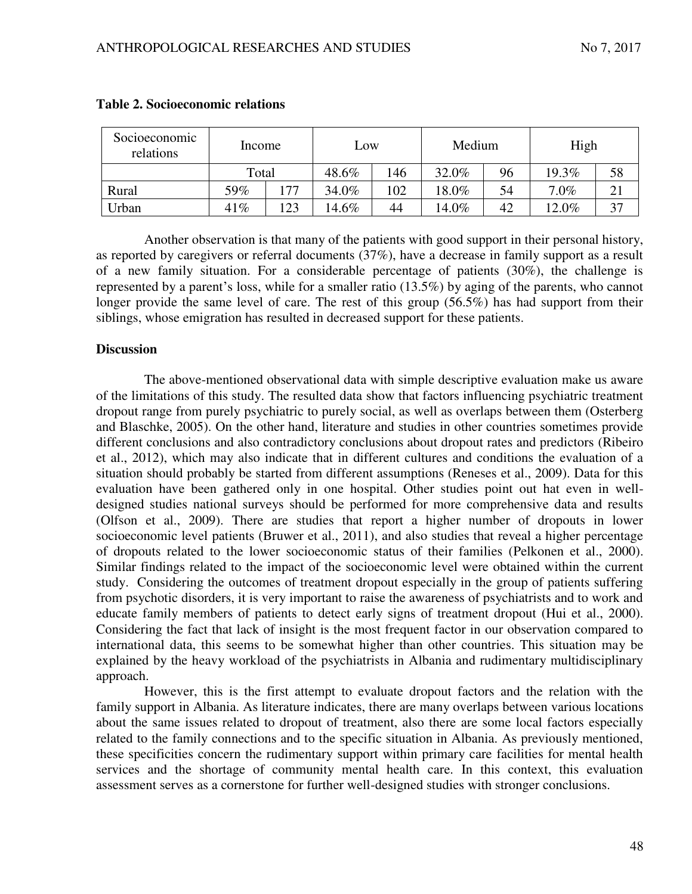| Socioeconomic<br>relations | Income |     | Low   |     | Medium   |    | High    |    |  |
|----------------------------|--------|-----|-------|-----|----------|----|---------|----|--|
|                            | Total  |     | 48.6% | 146 | 32.0%    | 96 | 19.3%   | 58 |  |
| Rural                      | 59%    | 177 | 34.0% | 102 | $18.0\%$ | 54 | $7.0\%$ |    |  |
| Urban                      | 41%    | 123 | 14.6% | 44  | 14.0%    | 42 | 12.0%   | 37 |  |

### **Table 2. Socioeconomic relations**

Another observation is that many of the patients with good support in their personal history, as reported by caregivers or referral documents (37%), have a decrease in family support as a result of a new family situation. For a considerable percentage of patients (30%), the challenge is represented by a parent's loss, while for a smaller ratio (13.5%) by aging of the parents, who cannot longer provide the same level of care. The rest of this group (56.5%) has had support from their siblings, whose emigration has resulted in decreased support for these patients.

### **Discussion**

The above-mentioned observational data with simple descriptive evaluation make us aware of the limitations of this study. The resulted data show that factors influencing psychiatric treatment dropout range from purely psychiatric to purely social, as well as overlaps between them (Osterberg and Blaschke, 2005). On the other hand, literature and studies in other countries sometimes provide different conclusions and also contradictory conclusions about dropout rates and predictors (Ribeiro et al., 2012), which may also indicate that in different cultures and conditions the evaluation of a situation should probably be started from different assumptions (Reneses et al., 2009). Data for this evaluation have been gathered only in one hospital. Other studies point out hat even in welldesigned studies national surveys should be performed for more comprehensive data and results (Olfson et al., 2009). There are studies that report a higher number of dropouts in lower socioeconomic level patients (Bruwer et al., 2011), and also studies that reveal a higher percentage of dropouts related to the lower socioeconomic status of their families (Pelkonen et al., 2000). Similar findings related to the impact of the socioeconomic level were obtained within the current study. Considering the outcomes of treatment dropout especially in the group of patients suffering from psychotic disorders, it is very important to raise the awareness of psychiatrists and to work and educate family members of patients to detect early signs of treatment dropout (Hui et al., 2000). Considering the fact that lack of insight is the most frequent factor in our observation compared to international data, this seems to be somewhat higher than other countries. This situation may be explained by the heavy workload of the psychiatrists in Albania and rudimentary multidisciplinary approach.

However, this is the first attempt to evaluate dropout factors and the relation with the family support in Albania. As literature indicates, there are many overlaps between various locations about the same issues related to dropout of treatment, also there are some local factors especially related to the family connections and to the specific situation in Albania. As previously mentioned, these specificities concern the rudimentary support within primary care facilities for mental health services and the shortage of community mental health care. In this context, this evaluation assessment serves as a cornerstone for further well-designed studies with stronger conclusions.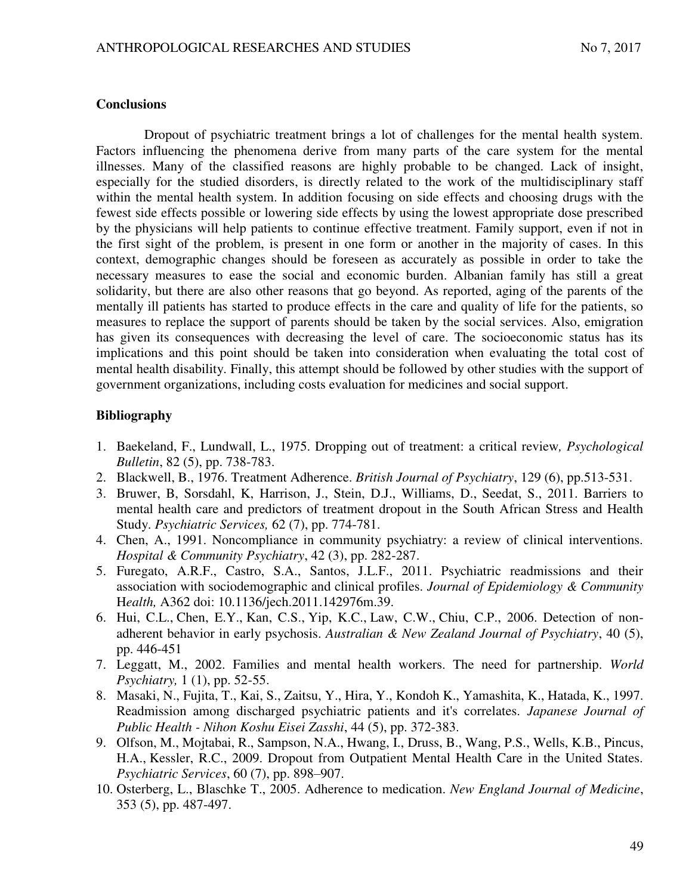#### **Conclusions**

Dropout of psychiatric treatment brings a lot of challenges for the mental health system. Factors influencing the phenomena derive from many parts of the care system for the mental illnesses. Many of the classified reasons are highly probable to be changed. Lack of insight, especially for the studied disorders, is directly related to the work of the multidisciplinary staff within the mental health system. In addition focusing on side effects and choosing drugs with the fewest side effects possible or lowering side effects by using the lowest appropriate dose prescribed by the physicians will help patients to continue effective treatment. Family support, even if not in the first sight of the problem, is present in one form or another in the majority of cases. In this context, demographic changes should be foreseen as accurately as possible in order to take the necessary measures to ease the social and economic burden. Albanian family has still a great solidarity, but there are also other reasons that go beyond. As reported, aging of the parents of the mentally ill patients has started to produce effects in the care and quality of life for the patients, so measures to replace the support of parents should be taken by the social services. Also, emigration has given its consequences with decreasing the level of care. The socioeconomic status has its implications and this point should be taken into consideration when evaluating the total cost of mental health disability. Finally, this attempt should be followed by other studies with the support of government organizations, including costs evaluation for medicines and social support.

### **Bibliography**

- 1. Baekeland, F., Lundwall, L., 1975. Dropping out of treatment: a critical review*, Psychological Bulletin*, 82 (5), pp. 738-783.
- 2. Blackwell, B., 1976. Treatment Adherence. *British Journal of Psychiatry*, 129 (6), pp.513-531.
- 3. Bruwer, B, Sorsdahl, K, Harrison, J., Stein, D.J., Williams, D., Seedat, S., 2011. Barriers to mental health care and predictors of treatment dropout in the South African Stress and Health Study. *Psychiatric Services,* 62 (7), pp. 774-781.
- 4. Chen, A., 1991. Noncompliance in community psychiatry: a review of clinical interventions. *Hospital & Community Psychiatry*, 42 (3), pp. 282-287.
- 5. Furegato, A.R.F., Castro, S.A., Santos, J.L.F., 2011. Psychiatric readmissions and their association with sociodemographic and clinical profiles. *Journal of Epidemiology & Community* H*ealth,* A362 doi: 10.1136/jech.2011.142976m.39.
- 6. Hui, C.L., Chen, E.Y., Kan, C.S., Yip, K.C., Law, C.W., Chiu, C.P., 2006. Detection of nonadherent behavior in early psychosis. *Australian & New Zealand Journal of Psychiatry*, 40 (5), pp. 446-451
- 7. Leggatt, M., 2002. Families and mental health workers. The need for partnership. *World Psychiatry,* 1 (1), pp. 52-55.
- 8. Masaki, N., Fujita, T., Kai, S., Zaitsu, Y., Hira, Y., Kondoh K., Yamashita, K., Hatada, K., 1997. Readmission among discharged psychiatric patients and it's correlates. *Japanese Journal of Public Health - Nihon Koshu Eisei Zasshi*, 44 (5), pp. 372-383.
- 9. Olfson, M., Mojtabai, R., Sampson, N.A., Hwang, I., Druss, B., Wang, P.S., Wells, K.B., Pincus, H.A., Kessler, R.C., 2009. Dropout from Outpatient Mental Health Care in the United States. *Psychiatric Services*, 60 (7), pp. 898–907.
- 10. Osterberg, L., Blaschke T., 2005. Adherence to medication. *New England Journal of Medicine*, 353 (5), pp. 487-497.